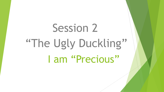# I am "Precious" Session 2 "The Ugly Duckling"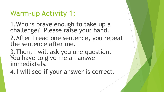## Warm-up Activity 1:

1.Who is brave enough to take up a challenge? Please raise your hand.

2.After I read one sentence, you repeat the sentence after me.

3.Then, I will ask you one question. You have to give me an answer immediately.

4.I will see if your answer is correct.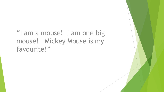#### "I am a mouse! I am one big mouse! Mickey Mouse is my favourite!"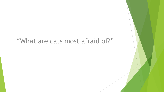#### "What are cats most afraid of?"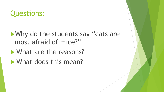#### Questions:

#### • Why do the students say "cats are most afraid of mice?"

- What are the reasons?
- What does this mean?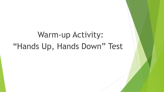# Warm-up Activity: "Hands Up, Hands Down" Test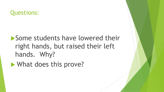#### Questions:

#### Some students have lowered their right hands, but raised their left hands. Why?

**Number** What does this prove?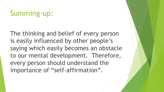#### Summing-up:

The thinking and belief of every person is easily influenced by other people's saying which easily becomes an obstacle to our mental development. Therefore, every person should understand the importance of "self-affirmation".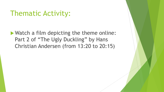#### Thematic Activity:

▶ Watch a film depicting the theme online: Part 2 of "The Ugly Duckling" by Hans Christian Andersen (from 13:20 to 20:15)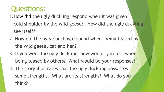#### Questions:

- 1.How did the ugly duckling respond when it was given cold shoulder by the wild geese? How did the ugly duckling see itself?
- 2. How did the ugly duckling respond when being teased by the wild geese, cat and hen?
- 3. If you were the ugly duckling, how would you feel when being teased by others? What would be your responses?
- 4. The story illustrates that the ugly duckling possesses some strengths. What are its strengths? What do you think?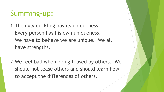## Summing-up:

1.The ugly duckling has its uniqueness. Every person has his own uniqueness. We have to believe we are unique. We all have strengths.

2.We feel bad when being teased by others. We should not tease others and should learn how to accept the differences of others.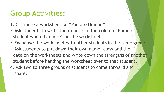#### Group Activities:

- 1.Distribute a worksheet on "You are Unique".
- 2.Ask students to write their names in the column "Name of the student whom I admire" on the worksheet.
- 3. Exchange the worksheet with other students in the same group. Ask students to put down their own name, class and the date on the worksheets and write down the strengths of another student before handing the worksheet over to that student. 4. Ask two to three groups of students to come forward and
	- share.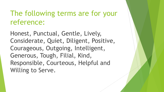#### The following terms are for your reference:

Honest, Punctual, Gentle, Lively, Considerate, Quiet, Diligent, Positive, Courageous, Outgoing, Intelligent, Generous, Tough, Filial, Kind, Responsible, Courteous, Helpful and Willing to Serve.